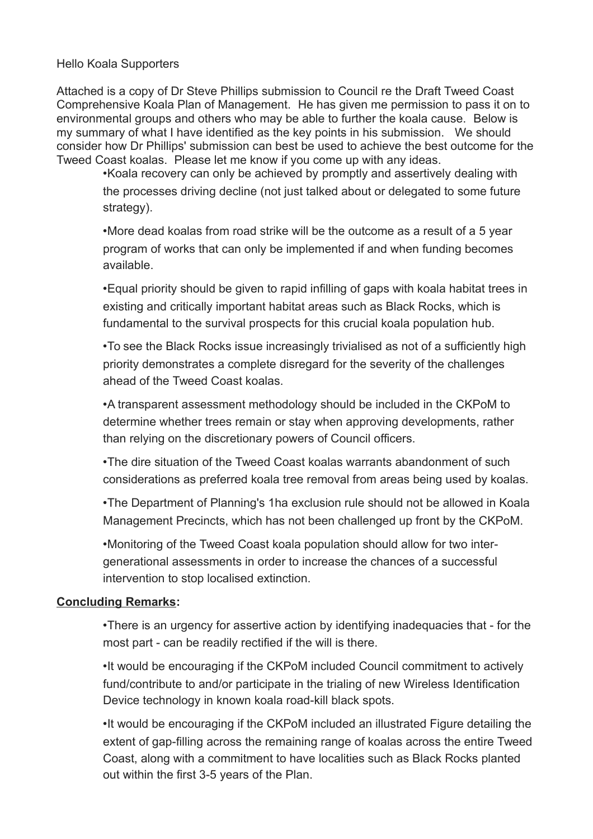## Hello Koala Supporters

Attached is a copy of Dr Steve Phillips submission to Council re the Draft Tweed Coast Comprehensive Koala Plan of Management. He has given me permission to pass it on to environmental groups and others who may be able to further the koala cause. Below is my summary of what I have identified as the key points in his submission. We should consider how Dr Phillips' submission can best be used to achieve the best outcome for the Tweed Coast koalas. Please let me know if you come up with any ideas.

•Koala recovery can only be achieved by promptly and assertively dealing with the processes driving decline (not just talked about or delegated to some future strategy).

•More dead koalas from road strike will be the outcome as a result of a 5 year program of works that can only be implemented if and when funding becomes available.

•Equal priority should be given to rapid infilling of gaps with koala habitat trees in existing and critically important habitat areas such as Black Rocks, which is fundamental to the survival prospects for this crucial koala population hub.

•To see the Black Rocks issue increasingly trivialised as not of a sufficiently high priority demonstrates a complete disregard for the severity of the challenges ahead of the Tweed Coast koalas.

•A transparent assessment methodology should be included in the CKPoM to determine whether trees remain or stay when approving developments, rather than relying on the discretionary powers of Council officers.

•The dire situation of the Tweed Coast koalas warrants abandonment of such considerations as preferred koala tree removal from areas being used by koalas.

•The Department of Planning's 1ha exclusion rule should not be allowed in Koala Management Precincts, which has not been challenged up front by the CKPoM.

•Monitoring of the Tweed Coast koala population should allow for two intergenerational assessments in order to increase the chances of a successful intervention to stop localised extinction.

## **Concluding Remarks:**

•There is an urgency for assertive action by identifying inadequacies that - for the most part - can be readily rectified if the will is there.

•It would be encouraging if the CKPoM included Council commitment to actively fund/contribute to and/or participate in the trialing of new Wireless Identification Device technology in known koala road-kill black spots.

•It would be encouraging if the CKPoM included an illustrated Figure detailing the extent of gap-filling across the remaining range of koalas across the entire Tweed Coast, along with a commitment to have localities such as Black Rocks planted out within the first 3-5 years of the Plan.